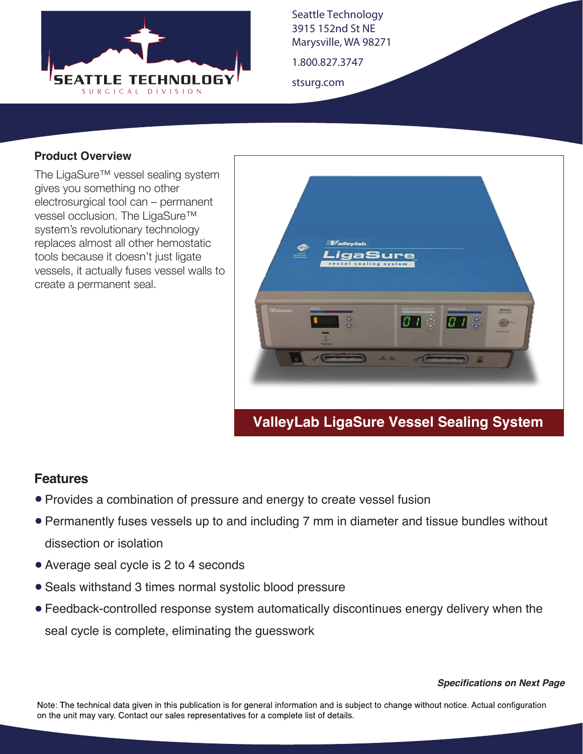

Seattle Technology 3915 152nd St NE Marysville, WA 98271

1.800.827.3747

stsurg.com

#### **Product Overview**

The LigaSure™ vessel sealing system gives you something no other electrosurgical tool can – permanent vessel occlusion. The LigaSure™ system's revolutionary technology replaces almost all other hemostatic tools because it doesn't just ligate vessels, it actually fuses vessel walls to create a permanent seal.



## **ValleyLab LigaSure Vessel Sealing System**

#### **Features**

- Provides a combination of pressure and energy to create vessel fusion
- Permanently fuses vessels up to and including 7 mm in diameter and tissue bundles without dissection or isolation
- Average seal cycle is 2 to 4 seconds
- Seals withstand 3 times normal systolic blood pressure
- Feedback-controlled response system automatically discontinues energy delivery when the seal cycle is complete, eliminating the guesswork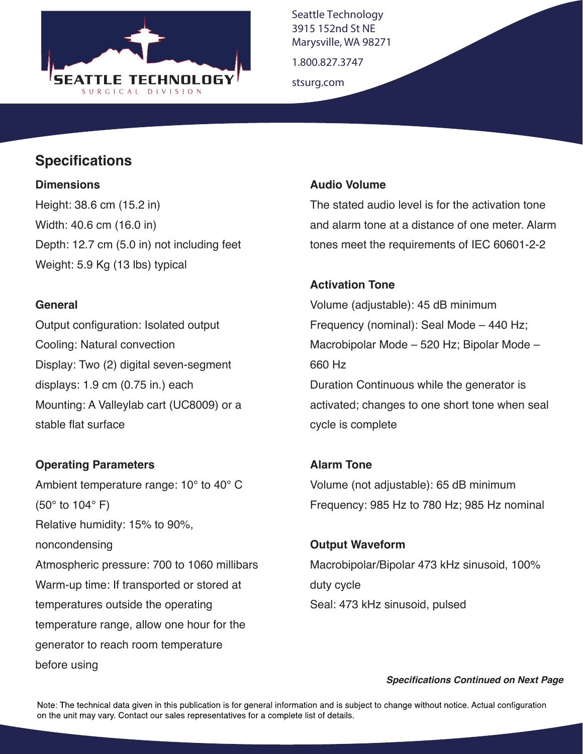

Seattle Technology 3915 152nd St NE Marysville, WA 98271

1.800.827.3747

stsurg.com

### **Specifications**

#### **Dimensions**

Height: 38.6 cm (15.2 in) Width: 40.6 cm (16.0 in) Depth: 12.7 cm (5.0 in) not including feet Weight: 5.9 Kg (13 lbs) typical

#### **General**

Output configuration: Isolated output Cooling: Natural convection Display: Two (2) digital seven-segment displays: 1.9 cm (0.75 in.) each Mounting: A Valleylab cart (UC8009) or a stable flat surface

### **Operating Parameters**

Ambient temperature range: 10° to 40° C (50° to 104° F) Relative humidity: 15% to 90%, noncondensing Atmospheric pressure: 700 to 1060 millibars Warm-up time: If transported or stored at temperatures outside the operating temperature range, allow one hour for the generator to reach room temperature before using

#### **Audio Volume**

The stated audio level is for the activation tone and alarm tone at a distance of one meter. Alarm tones meet the requirements of IEC 60601-2-2

#### **Activation Tone**

Volume (adjustable): 45 dB minimum Frequency (nominal): Seal Mode – 440 Hz; Macrobipolar Mode – 520 Hz; Bipolar Mode – 660 Hz Duration Continuous while the generator is activated; changes to one short tone when seal cycle is complete

# **Alarm Tone** Volume (not adjustable): 65 dB minimum Frequency: 985 Hz to 780 Hz; 985 Hz nominal

**Output Waveform** Macrobipolar/Bipolar 473 kHz sinusoid, 100% duty cycle Seal: 473 kHz sinusoid, pulsed

#### *Specifications Continued on Next Page*

Note: The technical data given in this publication is for general information and is subject to change without notice. Actual configuration on the unit may vary. Contact our sales representatives for a complete list of details.